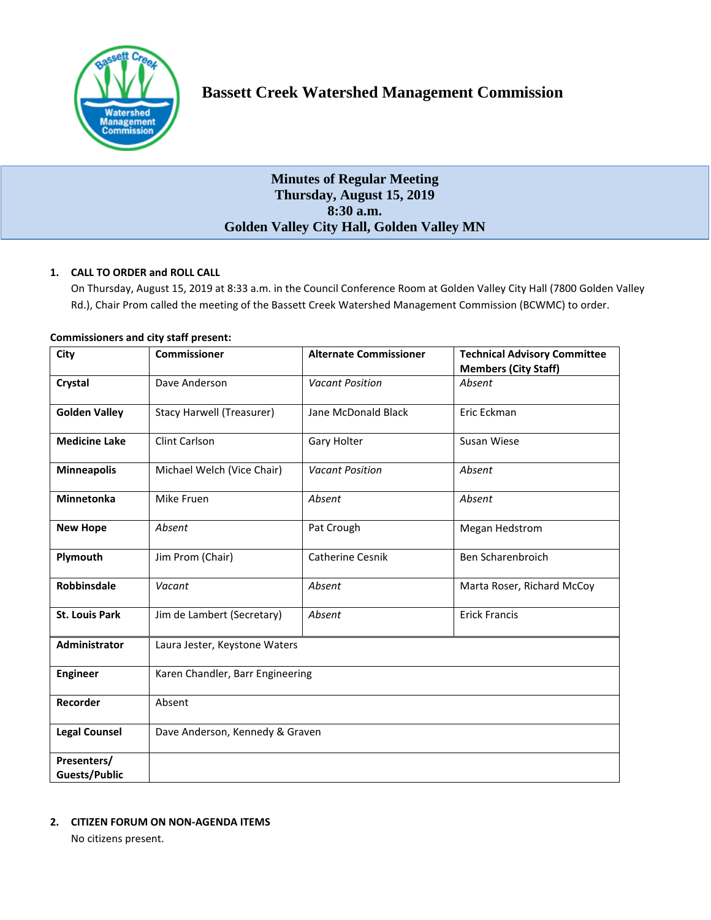

# **Bassett Creek Watershed Management Commission**

# **Minutes of Regular Meeting Thursday, August 15, 2019 8:30 a.m. Golden Valley City Hall, Golden Valley MN**

# **1. CALL TO ORDER and ROLL CALL**

On Thursday, August 15, 2019 at 8:33 a.m. in the Council Conference Room at Golden Valley City Hall (7800 Golden Valley Rd.), Chair Prom called the meeting of the Bassett Creek Watershed Management Commission (BCWMC) to order.

| City                                | <b>Commissioner</b>              | <b>Alternate Commissioner</b> | <b>Technical Advisory Committee</b><br><b>Members (City Staff)</b> |
|-------------------------------------|----------------------------------|-------------------------------|--------------------------------------------------------------------|
| Crystal                             | Dave Anderson                    | <b>Vacant Position</b>        | Absent                                                             |
| <b>Golden Valley</b>                | <b>Stacy Harwell (Treasurer)</b> | Jane McDonald Black           | Eric Eckman                                                        |
| <b>Medicine Lake</b>                | Clint Carlson                    | Gary Holter                   | Susan Wiese                                                        |
| <b>Minneapolis</b>                  | Michael Welch (Vice Chair)       | <b>Vacant Position</b>        | Absent                                                             |
| Minnetonka                          | Mike Fruen                       | Absent                        | Absent                                                             |
| <b>New Hope</b>                     | Absent                           | Pat Crough                    | Megan Hedstrom                                                     |
| Plymouth                            | Jim Prom (Chair)                 | <b>Catherine Cesnik</b>       | Ben Scharenbroich                                                  |
| Robbinsdale                         | Vacant                           | Absent                        | Marta Roser, Richard McCoy                                         |
| <b>St. Louis Park</b>               | Jim de Lambert (Secretary)       | Absent                        | <b>Erick Francis</b>                                               |
| Administrator                       | Laura Jester, Keystone Waters    |                               |                                                                    |
| <b>Engineer</b>                     | Karen Chandler, Barr Engineering |                               |                                                                    |
| Recorder                            | Absent                           |                               |                                                                    |
| <b>Legal Counsel</b>                | Dave Anderson, Kennedy & Graven  |                               |                                                                    |
| Presenters/<br><b>Guests/Public</b> |                                  |                               |                                                                    |

# **Commissioners and city staff present:**

#### **2. CITIZEN FORUM ON NON-AGENDA ITEMS**

No citizens present.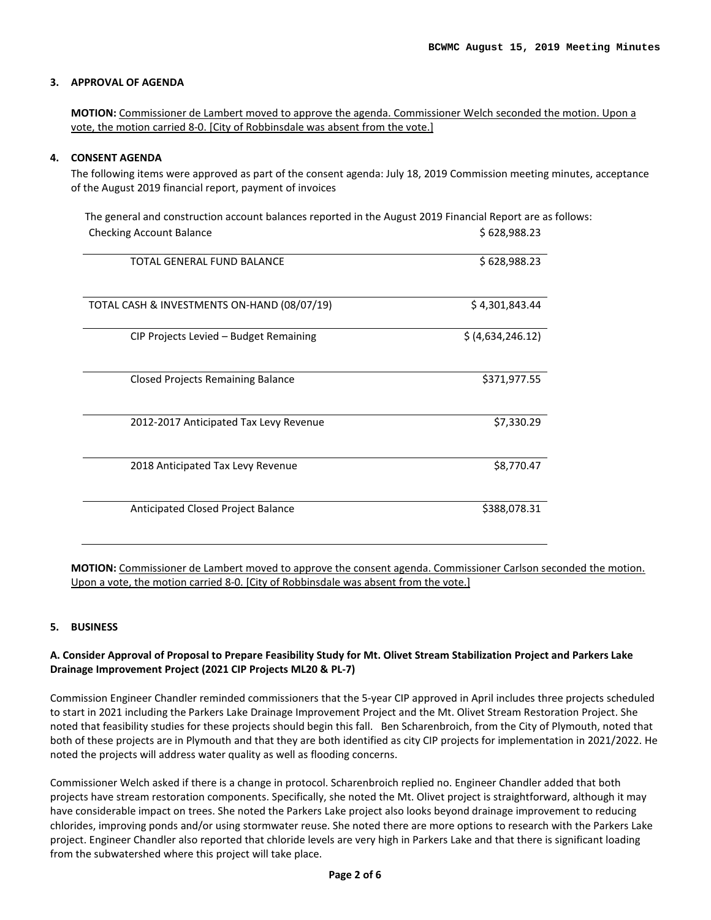#### **3. APPROVAL OF AGENDA**

**MOTION:** Commissioner de Lambert moved to approve the agenda. Commissioner Welch seconded the motion. Upon a vote, the motion carried 8-0. [City of Robbinsdale was absent from the vote.]

#### **4. CONSENT AGENDA**

The following items were approved as part of the consent agenda: July 18, 2019 Commission meeting minutes, acceptance of the August 2019 financial report, payment of invoices

| The general and construction account balances reported in the August 2019 Financial Report are as follows: |                   |
|------------------------------------------------------------------------------------------------------------|-------------------|
| <b>Checking Account Balance</b>                                                                            | \$628,988.23      |
| TOTAL GENERAL FUND BALANCE                                                                                 | \$628,988.23      |
| TOTAL CASH & INVESTMENTS ON-HAND (08/07/19)                                                                | \$4,301,843.44    |
| CIP Projects Levied - Budget Remaining                                                                     | \$ (4,634,246.12) |
| <b>Closed Projects Remaining Balance</b>                                                                   | \$371,977.55      |
| 2012-2017 Anticipated Tax Levy Revenue                                                                     | \$7,330.29        |
| 2018 Anticipated Tax Levy Revenue                                                                          | \$8,770.47        |
| Anticipated Closed Project Balance                                                                         | \$388,078.31      |

**MOTION:** Commissioner de Lambert moved to approve the consent agenda. Commissioner Carlson seconded the motion. Upon a vote, the motion carried 8-0. [City of Robbinsdale was absent from the vote.]

#### **5. BUSINESS**

#### **A. Consider Approval of Proposal to Prepare Feasibility Study for Mt. Olivet Stream Stabilization Project and Parkers Lake Drainage Improvement Project (2021 CIP Projects ML20 & PL-7)**

Commission Engineer Chandler reminded commissioners that the 5-year CIP approved in April includes three projects scheduled to start in 2021 including the Parkers Lake Drainage Improvement Project and the Mt. Olivet Stream Restoration Project. She noted that feasibility studies for these projects should begin this fall. Ben Scharenbroich, from the City of Plymouth, noted that both of these projects are in Plymouth and that they are both identified as city CIP projects for implementation in 2021/2022. He noted the projects will address water quality as well as flooding concerns.

Commissioner Welch asked if there is a change in protocol. Scharenbroich replied no. Engineer Chandler added that both projects have stream restoration components. Specifically, she noted the Mt. Olivet project is straightforward, although it may have considerable impact on trees. She noted the Parkers Lake project also looks beyond drainage improvement to reducing chlorides, improving ponds and/or using stormwater reuse. She noted there are more options to research with the Parkers Lake project. Engineer Chandler also reported that chloride levels are very high in Parkers Lake and that there is significant loading from the subwatershed where this project will take place.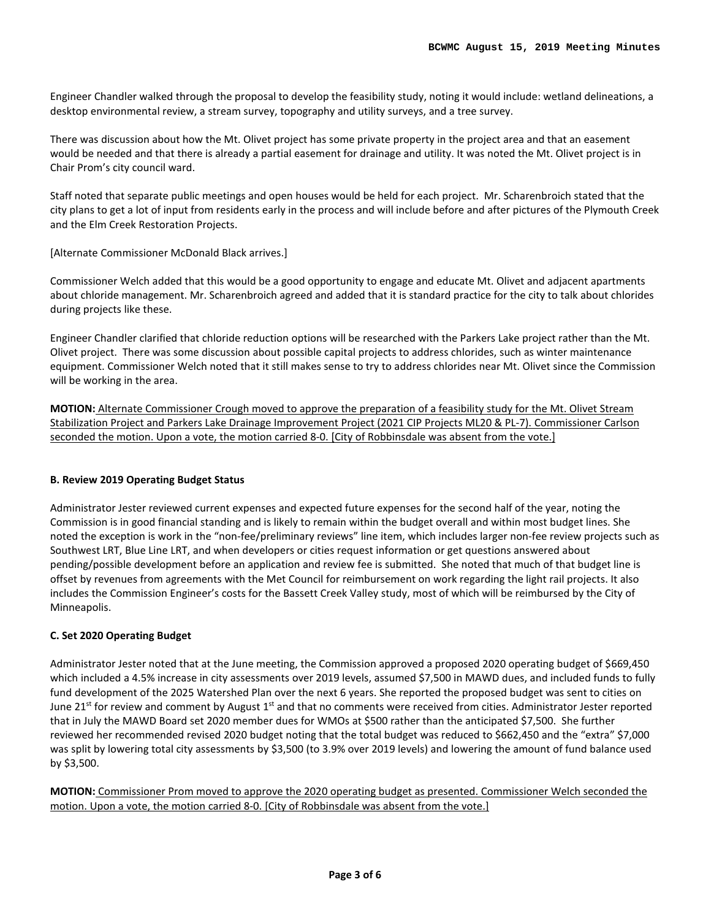Engineer Chandler walked through the proposal to develop the feasibility study, noting it would include: wetland delineations, a desktop environmental review, a stream survey, topography and utility surveys, and a tree survey.

There was discussion about how the Mt. Olivet project has some private property in the project area and that an easement would be needed and that there is already a partial easement for drainage and utility. It was noted the Mt. Olivet project is in Chair Prom's city council ward.

Staff noted that separate public meetings and open houses would be held for each project. Mr. Scharenbroich stated that the city plans to get a lot of input from residents early in the process and will include before and after pictures of the Plymouth Creek and the Elm Creek Restoration Projects.

[Alternate Commissioner McDonald Black arrives.]

Commissioner Welch added that this would be a good opportunity to engage and educate Mt. Olivet and adjacent apartments about chloride management. Mr. Scharenbroich agreed and added that it is standard practice for the city to talk about chlorides during projects like these.

Engineer Chandler clarified that chloride reduction options will be researched with the Parkers Lake project rather than the Mt. Olivet project. There was some discussion about possible capital projects to address chlorides, such as winter maintenance equipment. Commissioner Welch noted that it still makes sense to try to address chlorides near Mt. Olivet since the Commission will be working in the area.

**MOTION:** Alternate Commissioner Crough moved to approve the preparation of a feasibility study for the Mt. Olivet Stream Stabilization Project and Parkers Lake Drainage Improvement Project (2021 CIP Projects ML20 & PL-7). Commissioner Carlson seconded the motion. Upon a vote, the motion carried 8-0. [City of Robbinsdale was absent from the vote.]

## **B. Review 2019 Operating Budget Status**

Administrator Jester reviewed current expenses and expected future expenses for the second half of the year, noting the Commission is in good financial standing and is likely to remain within the budget overall and within most budget lines. She noted the exception is work in the "non-fee/preliminary reviews" line item, which includes larger non-fee review projects such as Southwest LRT, Blue Line LRT, and when developers or cities request information or get questions answered about pending/possible development before an application and review fee is submitted. She noted that much of that budget line is offset by revenues from agreements with the Met Council for reimbursement on work regarding the light rail projects. It also includes the Commission Engineer's costs for the Bassett Creek Valley study, most of which will be reimbursed by the City of Minneapolis.

## **C. Set 2020 Operating Budget**

Administrator Jester noted that at the June meeting, the Commission approved a proposed 2020 operating budget of \$669,450 which included a 4.5% increase in city assessments over 2019 levels, assumed \$7,500 in MAWD dues, and included funds to fully fund development of the 2025 Watershed Plan over the next 6 years. She reported the proposed budget was sent to cities on June 21<sup>st</sup> for review and comment by August 1<sup>st</sup> and that no comments were received from cities. Administrator Jester reported that in July the MAWD Board set 2020 member dues for WMOs at \$500 rather than the anticipated \$7,500. She further reviewed her recommended revised 2020 budget noting that the total budget was reduced to \$662,450 and the "extra" \$7,000 was split by lowering total city assessments by \$3,500 (to 3.9% over 2019 levels) and lowering the amount of fund balance used by \$3,500.

**MOTION:** Commissioner Prom moved to approve the 2020 operating budget as presented. Commissioner Welch seconded the motion. Upon a vote, the motion carried 8-0. [City of Robbinsdale was absent from the vote.]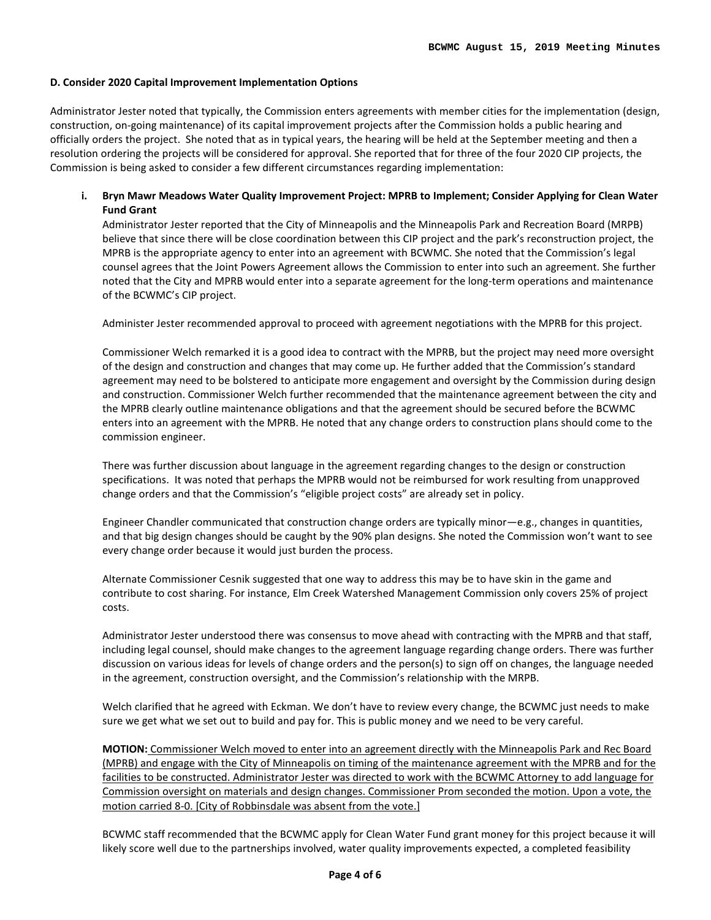#### **D. Consider 2020 Capital Improvement Implementation Options**

Administrator Jester noted that typically, the Commission enters agreements with member cities for the implementation (design, construction, on-going maintenance) of its capital improvement projects after the Commission holds a public hearing and officially orders the project. She noted that as in typical years, the hearing will be held at the September meeting and then a resolution ordering the projects will be considered for approval. She reported that for three of the four 2020 CIP projects, the Commission is being asked to consider a few different circumstances regarding implementation:

## **i. Bryn Mawr Meadows Water Quality Improvement Project: MPRB to Implement; Consider Applying for Clean Water Fund Grant**

Administrator Jester reported that the City of Minneapolis and the Minneapolis Park and Recreation Board (MRPB) believe that since there will be close coordination between this CIP project and the park's reconstruction project, the MPRB is the appropriate agency to enter into an agreement with BCWMC. She noted that the Commission's legal counsel agrees that the Joint Powers Agreement allows the Commission to enter into such an agreement. She further noted that the City and MPRB would enter into a separate agreement for the long-term operations and maintenance of the BCWMC's CIP project.

Administer Jester recommended approval to proceed with agreement negotiations with the MPRB for this project.

Commissioner Welch remarked it is a good idea to contract with the MPRB, but the project may need more oversight of the design and construction and changes that may come up. He further added that the Commission's standard agreement may need to be bolstered to anticipate more engagement and oversight by the Commission during design and construction. Commissioner Welch further recommended that the maintenance agreement between the city and the MPRB clearly outline maintenance obligations and that the agreement should be secured before the BCWMC enters into an agreement with the MPRB. He noted that any change orders to construction plans should come to the commission engineer.

There was further discussion about language in the agreement regarding changes to the design or construction specifications. It was noted that perhaps the MPRB would not be reimbursed for work resulting from unapproved change orders and that the Commission's "eligible project costs" are already set in policy.

Engineer Chandler communicated that construction change orders are typically minor—e.g., changes in quantities, and that big design changes should be caught by the 90% plan designs. She noted the Commission won't want to see every change order because it would just burden the process.

Alternate Commissioner Cesnik suggested that one way to address this may be to have skin in the game and contribute to cost sharing. For instance, Elm Creek Watershed Management Commission only covers 25% of project costs.

Administrator Jester understood there was consensus to move ahead with contracting with the MPRB and that staff, including legal counsel, should make changes to the agreement language regarding change orders. There was further discussion on various ideas for levels of change orders and the person(s) to sign off on changes, the language needed in the agreement, construction oversight, and the Commission's relationship with the MRPB.

Welch clarified that he agreed with Eckman. We don't have to review every change, the BCWMC just needs to make sure we get what we set out to build and pay for. This is public money and we need to be very careful.

**MOTION:** Commissioner Welch moved to enter into an agreement directly with the Minneapolis Park and Rec Board (MPRB) and engage with the City of Minneapolis on timing of the maintenance agreement with the MPRB and for the facilities to be constructed. Administrator Jester was directed to work with the BCWMC Attorney to add language for Commission oversight on materials and design changes. Commissioner Prom seconded the motion. Upon a vote, the motion carried 8-0. [City of Robbinsdale was absent from the vote.]

BCWMC staff recommended that the BCWMC apply for Clean Water Fund grant money for this project because it will likely score well due to the partnerships involved, water quality improvements expected, a completed feasibility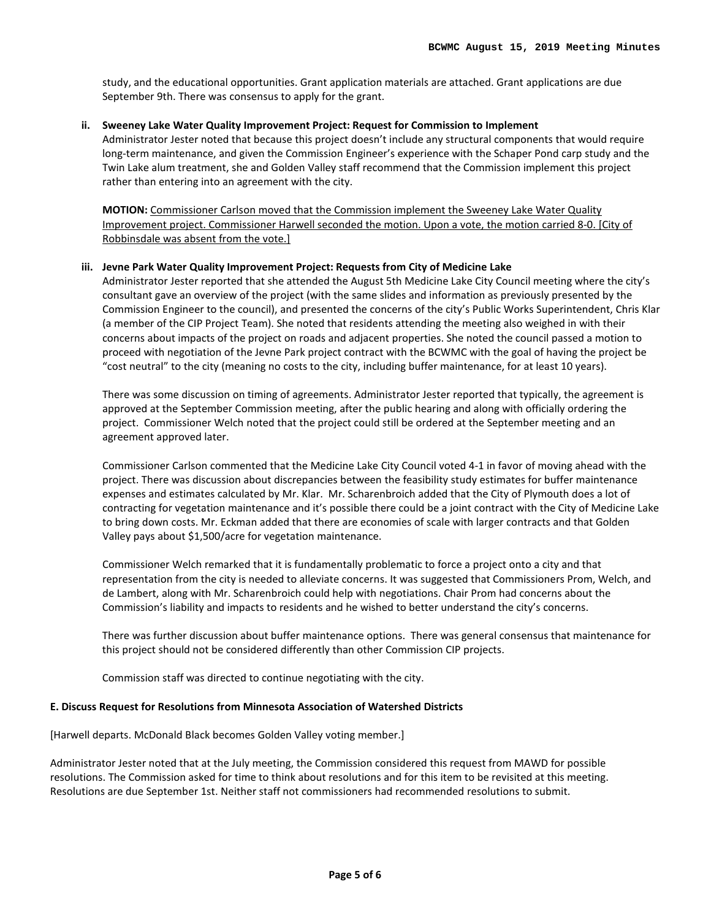study, and the educational opportunities. Grant application materials are attached. Grant applications are due September 9th. There was consensus to apply for the grant.

#### **ii. Sweeney Lake Water Quality Improvement Project: Request for Commission to Implement**

Administrator Jester noted that because this project doesn't include any structural components that would require long-term maintenance, and given the Commission Engineer's experience with the Schaper Pond carp study and the Twin Lake alum treatment, she and Golden Valley staff recommend that the Commission implement this project rather than entering into an agreement with the city.

**MOTION:** Commissioner Carlson moved that the Commission implement the Sweeney Lake Water Quality Improvement project. Commissioner Harwell seconded the motion. Upon a vote, the motion carried 8-0. [City of Robbinsdale was absent from the vote.]

#### **iii. Jevne Park Water Quality Improvement Project: Requests from City of Medicine Lake**

Administrator Jester reported that she attended the August 5th Medicine Lake City Council meeting where the city's consultant gave an overview of the project (with the same slides and information as previously presented by the Commission Engineer to the council), and presented the concerns of the city's Public Works Superintendent, Chris Klar (a member of the CIP Project Team). She noted that residents attending the meeting also weighed in with their concerns about impacts of the project on roads and adjacent properties. She noted the council passed a motion to proceed with negotiation of the Jevne Park project contract with the BCWMC with the goal of having the project be "cost neutral" to the city (meaning no costs to the city, including buffer maintenance, for at least 10 years).

There was some discussion on timing of agreements. Administrator Jester reported that typically, the agreement is approved at the September Commission meeting, after the public hearing and along with officially ordering the project. Commissioner Welch noted that the project could still be ordered at the September meeting and an agreement approved later.

Commissioner Carlson commented that the Medicine Lake City Council voted 4-1 in favor of moving ahead with the project. There was discussion about discrepancies between the feasibility study estimates for buffer maintenance expenses and estimates calculated by Mr. Klar. Mr. Scharenbroich added that the City of Plymouth does a lot of contracting for vegetation maintenance and it's possible there could be a joint contract with the City of Medicine Lake to bring down costs. Mr. Eckman added that there are economies of scale with larger contracts and that Golden Valley pays about \$1,500/acre for vegetation maintenance.

Commissioner Welch remarked that it is fundamentally problematic to force a project onto a city and that representation from the city is needed to alleviate concerns. It was suggested that Commissioners Prom, Welch, and de Lambert, along with Mr. Scharenbroich could help with negotiations. Chair Prom had concerns about the Commission's liability and impacts to residents and he wished to better understand the city's concerns.

There was further discussion about buffer maintenance options. There was general consensus that maintenance for this project should not be considered differently than other Commission CIP projects.

Commission staff was directed to continue negotiating with the city.

#### **E. Discuss Request for Resolutions from Minnesota Association of Watershed Districts**

[Harwell departs. McDonald Black becomes Golden Valley voting member.]

Administrator Jester noted that at the July meeting, the Commission considered this request from MAWD for possible resolutions. The Commission asked for time to think about resolutions and for this item to be revisited at this meeting. Resolutions are due September 1st. Neither staff not commissioners had recommended resolutions to submit.